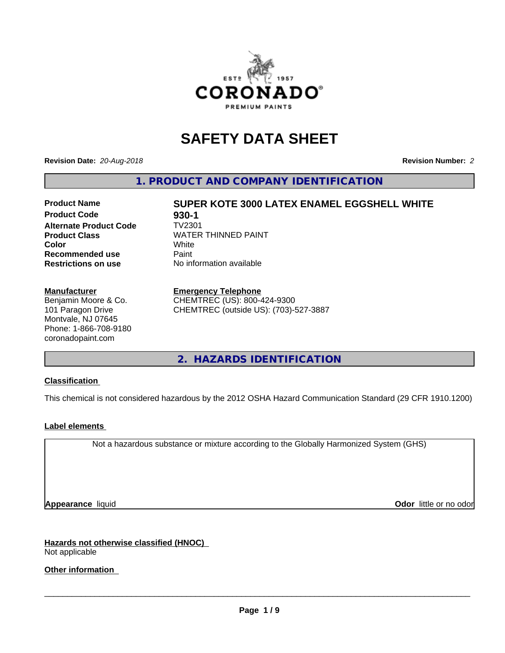

# **SAFETY DATA SHEET**

**Revision Date:** *20-Aug-2018* **Revision Number:** *2*

**1. PRODUCT AND COMPANY IDENTIFICATION**

### **Product Name SUPER KOTE 3000 LATEX ENAMEL EGGSHELL WHITE Product Code 6880-1<br>
<b>Alternate Product Code** TV2301 **Alternate Product Code Product Class** WATER THINNED PAINT<br>
Color **Color** White White **Recommended use** Paint **Restrictions on use** No information available

### **Manufacturer**

Benjamin Moore & Co. 101 Paragon Drive Montvale, NJ 07645 Phone: 1-866-708-9180 coronadopaint.com

### **Emergency Telephone**

CHEMTREC (US): 800-424-9300 CHEMTREC (outside US): (703)-527-3887

**2. HAZARDS IDENTIFICATION**

### **Classification**

This chemical is not considered hazardous by the 2012 OSHA Hazard Communication Standard (29 CFR 1910.1200)

### **Label elements**

Not a hazardous substance or mixture according to the Globally Harmonized System (GHS)

**Appearance** liquid **Contract Contract Contract Contract Contract Contract Contract Contract Contract Contract Contract Contract Contract Contract Contract Contract Contract Contract Contract Contract Contract Contract Con** 

**Hazards not otherwise classified (HNOC)** Not applicable

**Other information**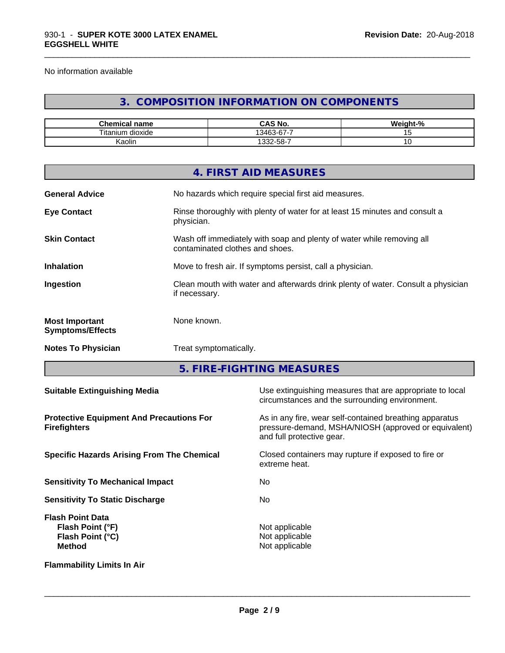No information available

# **3. COMPOSITION INFORMATION ON COMPONENTS**

\_\_\_\_\_\_\_\_\_\_\_\_\_\_\_\_\_\_\_\_\_\_\_\_\_\_\_\_\_\_\_\_\_\_\_\_\_\_\_\_\_\_\_\_\_\_\_\_\_\_\_\_\_\_\_\_\_\_\_\_\_\_\_\_\_\_\_\_\_\_\_\_\_\_\_\_\_\_\_\_\_\_\_\_\_\_\_\_\_\_\_\_\_

| $\sim$<br>$-$<br>name<br>nemical       | $\sim$ 11<br>$\mathbf{L}$<br>CAS No.               | .<br>- 70 |
|----------------------------------------|----------------------------------------------------|-----------|
| $- \cdot$ .<br>l itan<br>dioxide<br>um | --<br>$\sim$<br>$\sim$<br>$\overline{\phantom{0}}$ |           |
| . .<br>Kaolin                          | -32-58-7                                           | ັ         |

|                                                  | 4. FIRST AID MEASURES                                                                                    |
|--------------------------------------------------|----------------------------------------------------------------------------------------------------------|
| <b>General Advice</b>                            | No hazards which require special first aid measures.                                                     |
| <b>Eye Contact</b>                               | Rinse thoroughly with plenty of water for at least 15 minutes and consult a<br>physician.                |
| <b>Skin Contact</b>                              | Wash off immediately with soap and plenty of water while removing all<br>contaminated clothes and shoes. |
| <b>Inhalation</b>                                | Move to fresh air. If symptoms persist, call a physician.                                                |
| Ingestion                                        | Clean mouth with water and afterwards drink plenty of water. Consult a physician<br>if necessary.        |
| <b>Most Important</b><br><b>Symptoms/Effects</b> | None known.                                                                                              |
| <b>Notes To Physician</b>                        | Treat symptomatically.                                                                                   |
|                                                  |                                                                                                          |

**5. FIRE-FIGHTING MEASURES**

| <b>Suitable Extinguishing Media</b>                                              | Use extinguishing measures that are appropriate to local<br>circumstances and the surrounding environment.                                   |
|----------------------------------------------------------------------------------|----------------------------------------------------------------------------------------------------------------------------------------------|
| <b>Protective Equipment And Precautions For</b><br><b>Firefighters</b>           | As in any fire, wear self-contained breathing apparatus<br>pressure-demand, MSHA/NIOSH (approved or equivalent)<br>and full protective gear. |
| <b>Specific Hazards Arising From The Chemical</b>                                | Closed containers may rupture if exposed to fire or<br>extreme heat.                                                                         |
| <b>Sensitivity To Mechanical Impact</b>                                          | No.                                                                                                                                          |
| <b>Sensitivity To Static Discharge</b>                                           | No                                                                                                                                           |
| <b>Flash Point Data</b><br>Flash Point (°F)<br>Flash Point (°C)<br><b>Method</b> | Not applicable<br>Not applicable<br>Not applicable                                                                                           |
| <b>Flammability Limits In Air</b>                                                |                                                                                                                                              |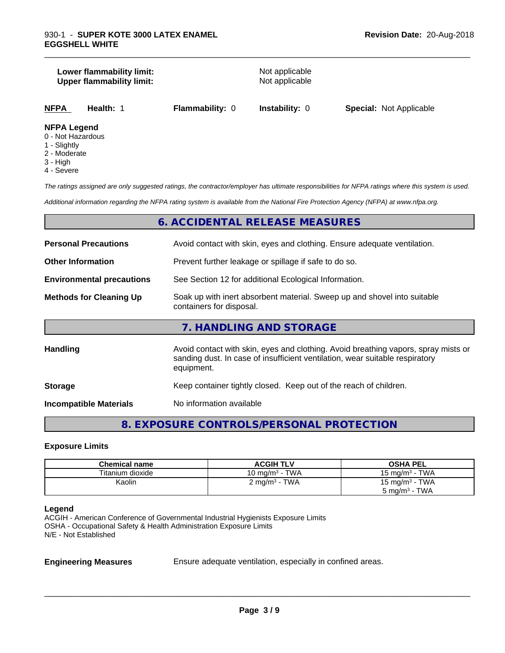### **Lower flammability limit:**<br> **Upper flammability limit:**<br>
Upper flammability limit:<br>
Not applicable **Upper flammability limit:**

\_\_\_\_\_\_\_\_\_\_\_\_\_\_\_\_\_\_\_\_\_\_\_\_\_\_\_\_\_\_\_\_\_\_\_\_\_\_\_\_\_\_\_\_\_\_\_\_\_\_\_\_\_\_\_\_\_\_\_\_\_\_\_\_\_\_\_\_\_\_\_\_\_\_\_\_\_\_\_\_\_\_\_\_\_\_\_\_\_\_\_\_\_

|--|

### **NFPA Legend**

- 0 Not Hazardous
- 1 Slightly
- 2 Moderate
- 3 High
- 4 Severe

*The ratings assigned are only suggested ratings, the contractor/employer has ultimate responsibilities for NFPA ratings where this system is used.*

*Additional information regarding the NFPA rating system is available from the National Fire Protection Agency (NFPA) at www.nfpa.org.*

### **6. ACCIDENTAL RELEASE MEASURES**

| <b>Personal Precautions</b>      | Avoid contact with skin, eyes and clothing. Ensure adequate ventilation.                                                                                                         |
|----------------------------------|----------------------------------------------------------------------------------------------------------------------------------------------------------------------------------|
| <b>Other Information</b>         | Prevent further leakage or spillage if safe to do so.                                                                                                                            |
| <b>Environmental precautions</b> | See Section 12 for additional Ecological Information.                                                                                                                            |
| <b>Methods for Cleaning Up</b>   | Soak up with inert absorbent material. Sweep up and shovel into suitable<br>containers for disposal.                                                                             |
|                                  | 7. HANDLING AND STORAGE                                                                                                                                                          |
| Handling                         | Avoid contact with skin, eyes and clothing. Avoid breathing vapors, spray mists or<br>sanding dust. In case of insufficient ventilation, wear suitable respiratory<br>equipment. |
| <b>Storage</b>                   | Keep container tightly closed. Keep out of the reach of children.                                                                                                                |
| <b>Incompatible Materials</b>    | No information available                                                                                                                                                         |

## **8. EXPOSURE CONTROLS/PERSONAL PROTECTION**

### **Exposure Limits**

| <b>Chemical name</b> | <b>ACGIH TLV</b>         | <b>OSHA PEL</b>            |
|----------------------|--------------------------|----------------------------|
| Titanium dioxide     | 10 mg/m $3$ - TWA        | 15 mg/m $3$ - TWA          |
| Kaolin               | $2 \text{ mg/m}^3$ - TWA | 15 mg/m <sup>3</sup> - TWA |
|                      |                          | $5 \text{ mg/m}^3$ - TWA   |

### **Legend**

ACGIH - American Conference of Governmental Industrial Hygienists Exposure Limits OSHA - Occupational Safety & Health Administration Exposure Limits N/E - Not Established

**Engineering Measures** Ensure adequate ventilation, especially in confined areas.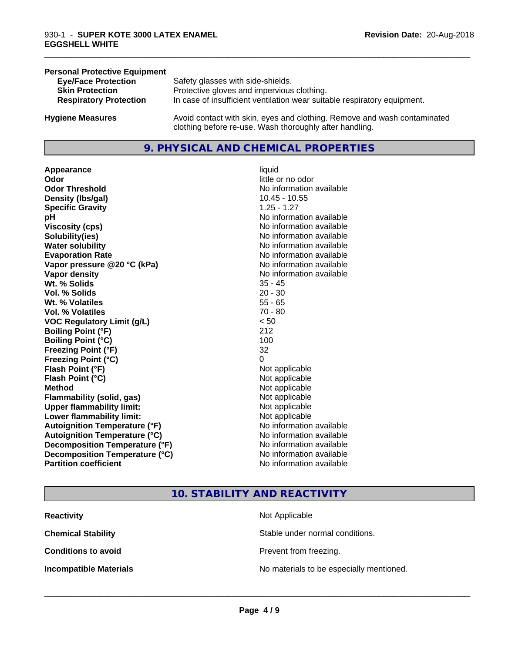### **Personal Protective Equipment**

| <b>Eye/Face Protection</b>    | Safety glasses with side-shields.                                        |
|-------------------------------|--------------------------------------------------------------------------|
| <b>Skin Protection</b>        | Protective gloves and impervious clothing.                               |
| <b>Respiratory Protection</b> | In case of insufficient ventilation wear suitable respiratory equipment. |
| <b>Hygiene Measures</b>       | Avoid contact with skin, eyes and clothing. Remove and wash contaminated |

**9. PHYSICAL AND CHEMICAL PROPERTIES**

clothing before re-use. Wash thoroughly after handling.

**Appearance** liquid **Odor**<br> **Odor Threshold**<br> **Odor Threshold**<br> **CODOR**<br> **CODOR**<br> **CODOR**<br> **CODOR**<br> **CODOR**<br> **CODOR**<br> **CODOR**<br> **CODOR**<br> **CODOR**<br> **CODOR Density (Ibs/gal)** 10.45 - 10.55 **Specific Gravity** 1.25 - 1.27 **pH** No information available **Viscosity (cps)** No information available **Solubility(ies)** No information available **Water solubility** No information available **Evaporation Rate No information available No information available Vapor pressure @20 °C (kPa)** No information available **Vapor density No information available No information available Wt. % Solids** 35 - 45 **Vol. % Solids** 20 - 30 **Wt. % Volatiles** 55 - 65 **Vol. % Volatiles** 70 - 80 **VOC Regulatory Limit (g/L)** < 50 **Boiling Point (°F)** 212 **Boiling Point (°C)** 100 **Freezing Point (°F)** 32 **Freezing Point (°C)** 0 **Flash Point (°F)**<br> **Flash Point (°C)**<br> **Flash Point (°C)**<br> **Point (°C)**<br> **Point (°C)**<br> **Point (°C)**<br> **Point (°C)**<br> **Point (°C) Flash Point (°C) Method** Not applicable **Flammability (solid, gas)** Not applicable **Upper flammability limit:** Not applicable **Lower flammability limit:** Not applicable **Autoignition Temperature (°F)** No information available **Autoignition Temperature (°C)** No information available **Decomposition Temperature (°F)** No information available<br> **Decomposition Temperature (°C)** No information available **Decomposition Temperature (°C) Partition coefficient Contract Contract Contract Contract Contract Contract Contract Contract Contract Contract Contract Contract Contract Contract Contract Contract Contract Contract Contract Contract Contract Contract** 

# **No information available**

\_\_\_\_\_\_\_\_\_\_\_\_\_\_\_\_\_\_\_\_\_\_\_\_\_\_\_\_\_\_\_\_\_\_\_\_\_\_\_\_\_\_\_\_\_\_\_\_\_\_\_\_\_\_\_\_\_\_\_\_\_\_\_\_\_\_\_\_\_\_\_\_\_\_\_\_\_\_\_\_\_\_\_\_\_\_\_\_\_\_\_\_\_

### **10. STABILITY AND REACTIVITY**

| <b>Reactivity</b>             | Not Applicable                           |
|-------------------------------|------------------------------------------|
| <b>Chemical Stability</b>     | Stable under normal conditions.          |
| <b>Conditions to avoid</b>    | Prevent from freezing.                   |
| <b>Incompatible Materials</b> | No materials to be especially mentioned. |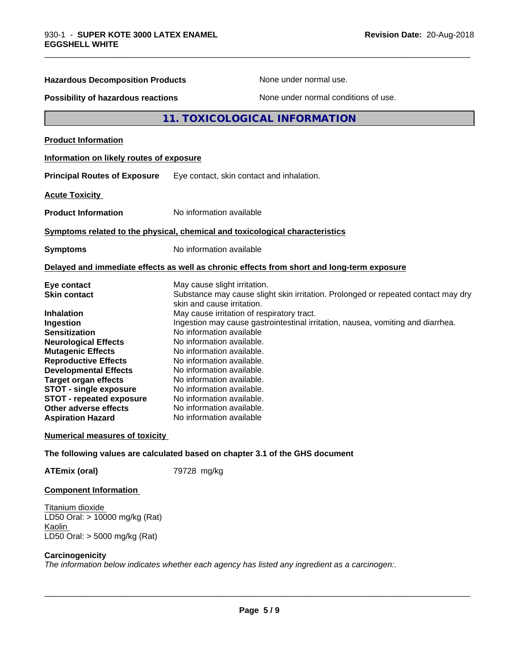| <b>Hazardous Decomposition Products</b><br>None under normal use.                                                                                                                                                                                                                                                                                                              |                                                                                                                                                                                                                                                                                                                                                                                                                                                                                                                                                                                  |  |
|--------------------------------------------------------------------------------------------------------------------------------------------------------------------------------------------------------------------------------------------------------------------------------------------------------------------------------------------------------------------------------|----------------------------------------------------------------------------------------------------------------------------------------------------------------------------------------------------------------------------------------------------------------------------------------------------------------------------------------------------------------------------------------------------------------------------------------------------------------------------------------------------------------------------------------------------------------------------------|--|
| Possibility of hazardous reactions                                                                                                                                                                                                                                                                                                                                             | None under normal conditions of use.                                                                                                                                                                                                                                                                                                                                                                                                                                                                                                                                             |  |
|                                                                                                                                                                                                                                                                                                                                                                                | <b>11. TOXICOLOGICAL INFORMATION</b>                                                                                                                                                                                                                                                                                                                                                                                                                                                                                                                                             |  |
| <b>Product Information</b>                                                                                                                                                                                                                                                                                                                                                     |                                                                                                                                                                                                                                                                                                                                                                                                                                                                                                                                                                                  |  |
| Information on likely routes of exposure                                                                                                                                                                                                                                                                                                                                       |                                                                                                                                                                                                                                                                                                                                                                                                                                                                                                                                                                                  |  |
| <b>Principal Routes of Exposure</b>                                                                                                                                                                                                                                                                                                                                            | Eye contact, skin contact and inhalation.                                                                                                                                                                                                                                                                                                                                                                                                                                                                                                                                        |  |
| <b>Acute Toxicity</b>                                                                                                                                                                                                                                                                                                                                                          |                                                                                                                                                                                                                                                                                                                                                                                                                                                                                                                                                                                  |  |
| <b>Product Information</b>                                                                                                                                                                                                                                                                                                                                                     | No information available                                                                                                                                                                                                                                                                                                                                                                                                                                                                                                                                                         |  |
|                                                                                                                                                                                                                                                                                                                                                                                | Symptoms related to the physical, chemical and toxicological characteristics                                                                                                                                                                                                                                                                                                                                                                                                                                                                                                     |  |
| <b>Symptoms</b>                                                                                                                                                                                                                                                                                                                                                                | No information available                                                                                                                                                                                                                                                                                                                                                                                                                                                                                                                                                         |  |
|                                                                                                                                                                                                                                                                                                                                                                                | Delayed and immediate effects as well as chronic effects from short and long-term exposure                                                                                                                                                                                                                                                                                                                                                                                                                                                                                       |  |
| Eye contact<br><b>Skin contact</b><br><b>Inhalation</b><br>Ingestion<br><b>Sensitization</b><br><b>Neurological Effects</b><br><b>Mutagenic Effects</b><br><b>Reproductive Effects</b><br><b>Developmental Effects</b><br><b>Target organ effects</b><br><b>STOT - single exposure</b><br><b>STOT - repeated exposure</b><br>Other adverse effects<br><b>Aspiration Hazard</b> | May cause slight irritation.<br>Substance may cause slight skin irritation. Prolonged or repeated contact may dry<br>skin and cause irritation.<br>May cause irritation of respiratory tract.<br>Ingestion may cause gastrointestinal irritation, nausea, vomiting and diarrhea.<br>No information available<br>No information available.<br>No information available.<br>No information available.<br>No information available.<br>No information available.<br>No information available.<br>No information available.<br>No information available.<br>No information available |  |
| <b>Numerical measures of toxicity</b>                                                                                                                                                                                                                                                                                                                                          |                                                                                                                                                                                                                                                                                                                                                                                                                                                                                                                                                                                  |  |
|                                                                                                                                                                                                                                                                                                                                                                                | The following values are calculated based on chapter 3.1 of the GHS document                                                                                                                                                                                                                                                                                                                                                                                                                                                                                                     |  |
| <b>ATEmix (oral)</b>                                                                                                                                                                                                                                                                                                                                                           | 79728 mg/kg                                                                                                                                                                                                                                                                                                                                                                                                                                                                                                                                                                      |  |

\_\_\_\_\_\_\_\_\_\_\_\_\_\_\_\_\_\_\_\_\_\_\_\_\_\_\_\_\_\_\_\_\_\_\_\_\_\_\_\_\_\_\_\_\_\_\_\_\_\_\_\_\_\_\_\_\_\_\_\_\_\_\_\_\_\_\_\_\_\_\_\_\_\_\_\_\_\_\_\_\_\_\_\_\_\_\_\_\_\_\_\_\_

### **Component Information**

Titanium dioxide LD50 Oral: > 10000 mg/kg (Rat) Kaolin LD50 Oral: > 5000 mg/kg (Rat)

### **Carcinogenicity**

*The information below indicateswhether each agency has listed any ingredient as a carcinogen:.*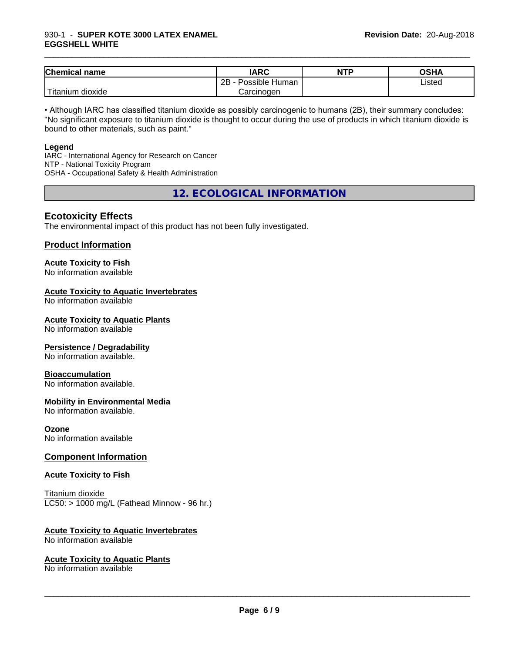### 930-1 - **SUPER KOTE 3000 LATEX ENAMEL EGGSHELL WHITE**

| <b>Chemical name</b>         | <b>IARC</b>               | <b>NTP</b> | OSHA   |
|------------------------------|---------------------------|------------|--------|
|                              | .<br>2B<br>Possible Human |            | Listed |
| l ma<br>dioxide<br>I itanium | Carcinogen                |            |        |

\_\_\_\_\_\_\_\_\_\_\_\_\_\_\_\_\_\_\_\_\_\_\_\_\_\_\_\_\_\_\_\_\_\_\_\_\_\_\_\_\_\_\_\_\_\_\_\_\_\_\_\_\_\_\_\_\_\_\_\_\_\_\_\_\_\_\_\_\_\_\_\_\_\_\_\_\_\_\_\_\_\_\_\_\_\_\_\_\_\_\_\_\_

• Although IARC has classified titanium dioxide as possibly carcinogenic to humans (2B), their summary concludes: "No significant exposure to titanium dioxide is thought to occur during the use of products in which titanium dioxide is bound to other materials, such as paint."

### **Legend**

IARC - International Agency for Research on Cancer NTP - National Toxicity Program OSHA - Occupational Safety & Health Administration

**12. ECOLOGICAL INFORMATION**

### **Ecotoxicity Effects**

The environmental impact of this product has not been fully investigated.

### **Product Information**

# **Acute Toxicity to Fish**

No information available

### **Acute Toxicity to Aquatic Invertebrates**

No information available

### **Acute Toxicity to Aquatic Plants**

No information available

### **Persistence / Degradability**

No information available.

### **Bioaccumulation**

No information available.

### **Mobility in Environmental Media**

No information available.

### **Ozone**

No information available

### **Component Information**

### **Acute Toxicity to Fish**

Titanium dioxide  $LC50:$  > 1000 mg/L (Fathead Minnow - 96 hr.)

### **Acute Toxicity to Aquatic Invertebrates**

No information available

### **Acute Toxicity to Aquatic Plants**

No information available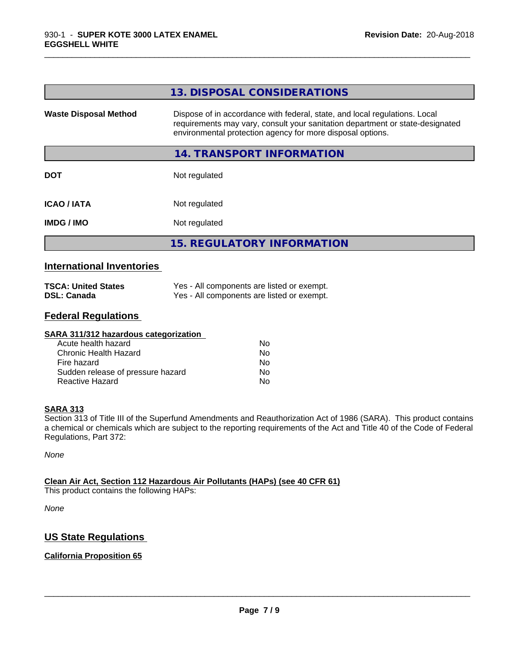|                              | 13. DISPOSAL CONSIDERATIONS                                                                                                                                                                                               |
|------------------------------|---------------------------------------------------------------------------------------------------------------------------------------------------------------------------------------------------------------------------|
| <b>Waste Disposal Method</b> | Dispose of in accordance with federal, state, and local regulations. Local<br>requirements may vary, consult your sanitation department or state-designated<br>environmental protection agency for more disposal options. |
|                              | 14. TRANSPORT INFORMATION                                                                                                                                                                                                 |
| <b>DOT</b>                   | Not regulated                                                                                                                                                                                                             |
| <b>ICAO/IATA</b>             | Not regulated                                                                                                                                                                                                             |
| <b>IMDG / IMO</b>            | Not regulated                                                                                                                                                                                                             |
|                              | <b>15. REGULATORY INFORMATION</b>                                                                                                                                                                                         |
|                              |                                                                                                                                                                                                                           |

\_\_\_\_\_\_\_\_\_\_\_\_\_\_\_\_\_\_\_\_\_\_\_\_\_\_\_\_\_\_\_\_\_\_\_\_\_\_\_\_\_\_\_\_\_\_\_\_\_\_\_\_\_\_\_\_\_\_\_\_\_\_\_\_\_\_\_\_\_\_\_\_\_\_\_\_\_\_\_\_\_\_\_\_\_\_\_\_\_\_\_\_\_

### **International Inventories**

| <b>TSCA: United States</b> | Yes - All components are listed or exempt. |
|----------------------------|--------------------------------------------|
| <b>DSL: Canada</b>         | Yes - All components are listed or exempt. |

### **Federal Regulations**

| SARA 311/312 hazardous categorization |    |  |
|---------------------------------------|----|--|
| Acute health hazard                   | Nο |  |
| Chronic Health Hazard                 | No |  |
| Fire hazard                           | No |  |
| Sudden release of pressure hazard     | No |  |
| Reactive Hazard                       | No |  |

### **SARA 313**

Section 313 of Title III of the Superfund Amendments and Reauthorization Act of 1986 (SARA). This product contains a chemical or chemicals which are subject to the reporting requirements of the Act and Title 40 of the Code of Federal Regulations, Part 372:

*None*

### **Clean Air Act,Section 112 Hazardous Air Pollutants (HAPs) (see 40 CFR 61)**

This product contains the following HAPs:

*None*

### **US State Regulations**

### **California Proposition 65**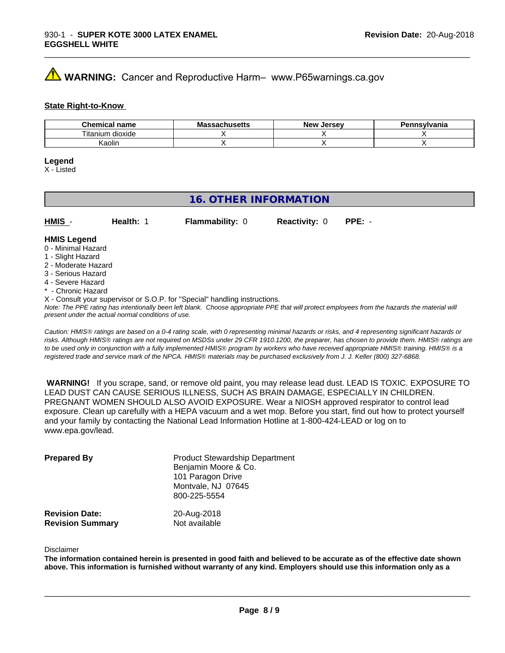# **A** WARNING: Cancer and Reproductive Harm– www.P65warnings.ca.gov

### **State Right-to-Know**

| Chemical<br>name      | M۰<br>.ehee <del>l</del> k<br>No<br>⊶atiluscus | <b>Jersev</b><br><b>Nev</b> | Pennsvlvania |
|-----------------------|------------------------------------------------|-----------------------------|--------------|
| ⊦dioxide<br>l itanium |                                                |                             |              |
| Kaolin                |                                                |                             |              |

\_\_\_\_\_\_\_\_\_\_\_\_\_\_\_\_\_\_\_\_\_\_\_\_\_\_\_\_\_\_\_\_\_\_\_\_\_\_\_\_\_\_\_\_\_\_\_\_\_\_\_\_\_\_\_\_\_\_\_\_\_\_\_\_\_\_\_\_\_\_\_\_\_\_\_\_\_\_\_\_\_\_\_\_\_\_\_\_\_\_\_\_\_

### **Legend**

X - Listed

### **16. OTHER INFORMATION**

| $HMIS -$           | Health: | <b>Flammability: 0</b> | <b>Reactivity: 0</b> | $PPE: -$ |
|--------------------|---------|------------------------|----------------------|----------|
| <b>HMIS Legend</b> |         |                        |                      |          |

### 0 - Minimal Hazard

- 1 Slight Hazard
- 2 Moderate Hazard
- 3 Serious Hazard
- 4 Severe Hazard
- \* Chronic Hazard
- X Consult your supervisor or S.O.P. for "Special" handling instructions.

*Note: The PPE rating has intentionally been left blank. Choose appropriate PPE that will protect employees from the hazards the material will present under the actual normal conditions of use.*

*Caution: HMISÒ ratings are based on a 0-4 rating scale, with 0 representing minimal hazards or risks, and 4 representing significant hazards or risks. Although HMISÒ ratings are not required on MSDSs under 29 CFR 1910.1200, the preparer, has chosen to provide them. HMISÒ ratings are to be used only in conjunction with a fully implemented HMISÒ program by workers who have received appropriate HMISÒ training. HMISÒ is a registered trade and service mark of the NPCA. HMISÒ materials may be purchased exclusively from J. J. Keller (800) 327-6868.*

 **WARNING!** If you scrape, sand, or remove old paint, you may release lead dust. LEAD IS TOXIC. EXPOSURE TO LEAD DUST CAN CAUSE SERIOUS ILLNESS, SUCH AS BRAIN DAMAGE, ESPECIALLY IN CHILDREN. PREGNANT WOMEN SHOULD ALSO AVOID EXPOSURE.Wear a NIOSH approved respirator to control lead exposure. Clean up carefully with a HEPA vacuum and a wet mop. Before you start, find out how to protect yourself and your family by contacting the National Lead Information Hotline at 1-800-424-LEAD or log on to www.epa.gov/lead.

| <b>Prepared By</b>                               | <b>Product Stewardship Department</b><br>Benjamin Moore & Co.<br>101 Paragon Drive<br>Montvale, NJ 07645<br>800-225-5554 |  |
|--------------------------------------------------|--------------------------------------------------------------------------------------------------------------------------|--|
| <b>Revision Date:</b><br><b>Revision Summary</b> | 20-Aug-2018<br>Not available                                                                                             |  |

### Disclaimer

The information contained herein is presented in good faith and believed to be accurate as of the effective date shown above. This information is furnished without warranty of any kind. Employers should use this information only as a